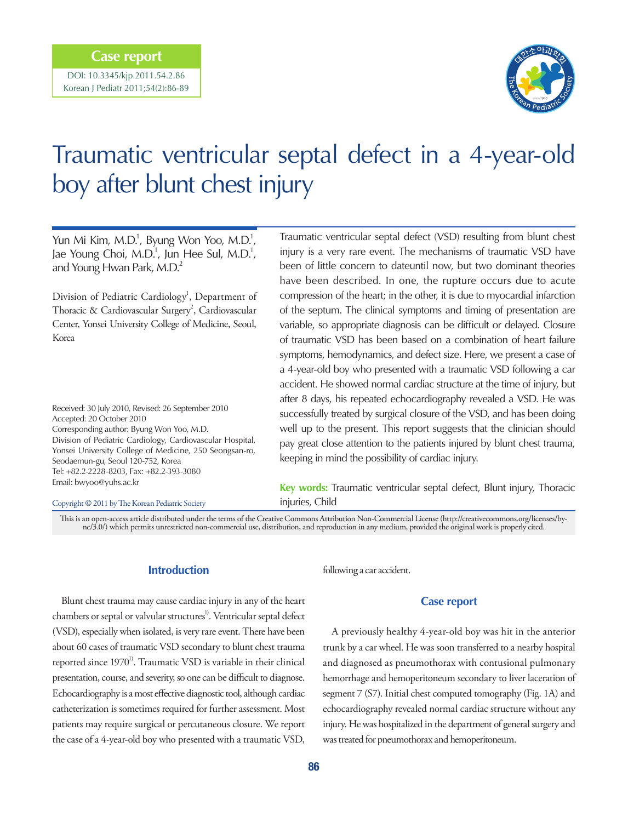# **Case report**

DOI: 10.3345/kjp.2011.54.2.86 Korean J Pediatr 2011;54(2):86-89



# Traumatic ventricular septal defect in a 4-year-old boy after blunt chest injury

Yun Mi Kim, M.D.<sup>1</sup>, Byung Won Yoo, M.D.<sup>1</sup>, Jae Young Choi, M.D.<sup>1</sup>, Jun Hee Sul, M.D.<sup>1</sup>, and Young Hwan Park, M.D.<sup>2</sup>

Division of Pediatric Cardiology<sup>1</sup>, Department of Thoracic & Cardiovascular Surgery<sup>2</sup>, Cardiovascular Center, Yonsei University College of Medicine, Seoul, Korea

Received: 30 July 2010, Revised: 26 September 2010 Accepted: 20 October 2010 Corresponding author: Byung Won Yoo, M.D. Division of Pediatric Cardiology, Cardiovascular Hospital, Yonsei University College of Medicine, 250 Seongsan-ro, Seodaemun-gu, Seoul 120-752, Korea Tel: +82.2-2228-8203, Fax: +82.2-393-3080 Email: bwyoo@yuhs.ac.kr

#### Copyright © 2011 by The Korean Pediatric Society

Traumatic ventricular septal defect (VSD) resulting from blunt chest injury is a very rare event. The mechanisms of traumatic VSD have been of little concern to dateuntil now, but two dominant theories have been described. In one, the rupture occurs due to acute compression of the heart; in the other, it is due to myocardial infarction of the septum. The clinical symptoms and timing of presentation are variable, so appropriate diagnosis can be difficult or delayed. Closure of traumatic VSD has been based on a combination of heart failure symptoms, hemodynamics, and defect size. Here, we present a case of a 4-year-old boy who presented with a traumatic VSD following a car accident. He showed normal cardiac structure at the time of injury, but after 8 days, his repeated echocardiography revealed a VSD. He was successfully treated by surgical closure of the VSD, and has been doing well up to the present. This report suggests that the clinician should pay great close attention to the patients injured by blunt chest trauma, keeping in mind the possibility of cardiac injury.

**Key words:** Traumatic ventricular septal defect, Blunt injury, Thoracic injuries, Child

This is an open-access article distributed under the terms of the Creative Commons Attribution Non-Commercial License (http://creativecommons.org/licenses/bync/3.0/) which permits unrestricted non-commercial use, distribution, and reproduction in any medium, provided the original work is properly cited.

### **Introduction**

Blunt chest trauma may cause cardiac injury in any of the heart chambers or septal or valvular structures<sup>1)</sup>. Ventricular septal defect (VSD), especially when isolated, is very rare event. There have been about 60 cases of traumatic VSD secondary to blunt chest trauma reported since  $1970^{\prime\prime}$ . Traumatic VSD is variable in their clinical presentation, course, and severity, so one can be difficult to diagnose. Echocardiography is a most effective diagnostic tool, although cardiac catheterization is sometimes required for further assessment. Most patients may require surgical or percutaneous closure. We report the case of a 4-year-old boy who presented with a traumatic VSD,

following a car accident.

#### **Case report**

A previously healthy 4-year-old boy was hit in the anterior trunk by a car wheel. He was soon transferred to a nearby hospital and diagnosed as pneumothorax with contusional pulmonary hemorrhage and hemoperitoneum secondary to liver laceration of segment 7 (S7). Initial chest computed tomography (Fig. 1A) and echocardiography revealed normal cardiac structure without any injury. He was hospitalized in the department of general surgery and was treated for pneumothorax and hemoperitoneum.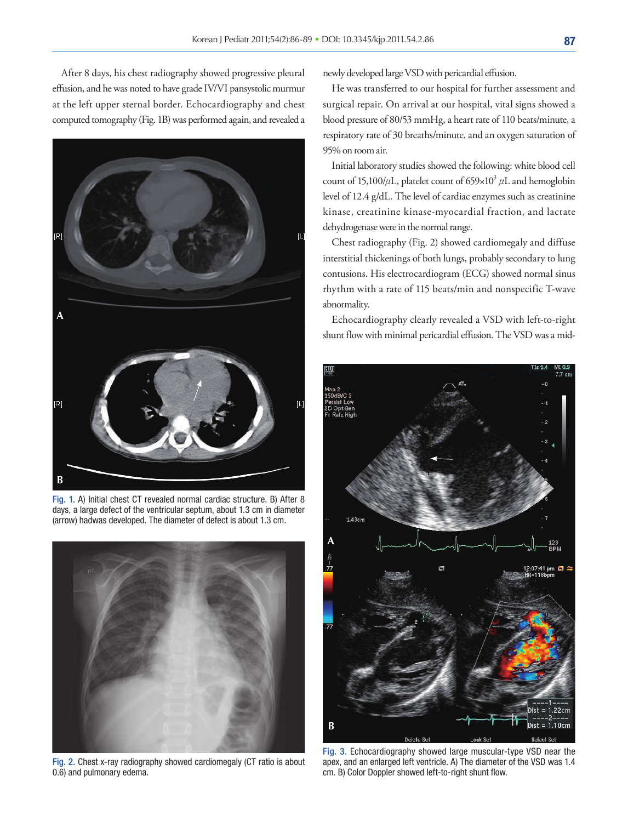After 8 days, his chest radiography showed progressive pleural effusion, and he was noted to have grade IV/VI pansystolic murmur at the left upper sternal border. Echocardiography and chest computed tomography (Fig. 1B) was performed again, and revealed a



Fig. 1. A) Initial chest CT revealed normal cardiac structure. B) After 8 days, a large defect of the ventricular septum, about 1.3 cm in diameter (arrow) hadwas developed. The diameter of defect is about 1.3 cm.



Fig. 2. Chest x-ray radiography showed cardiomegaly (CT ratio is about 0.6) and pulmonary edema.

newly developed large VSD with pericardial effusion.

He was transferred to our hospital for further assessment and surgical repair. On arrival at our hospital, vital signs showed a blood pressure of 80/53 mmHg, a heart rate of 110 beats/minute, a respiratory rate of 30 breaths/minute, and an oxygen saturation of 95% on room air.

Initial laboratory studies showed the following: white blood cell count of 15,100/ $\mu$ L, platelet count of 659×10<sup>3</sup>  $\mu$ L and hemoglobin level of 12.4 g/dL. The level of cardiac enzymes such as creatinine kinase, creatinine kinase-myocardial fraction, and lactate dehydrogenase were in the normal range.

Chest radiography (Fig. 2) showed cardiomegaly and diffuse interstitial thickenings of both lungs, probably secondary to lung contusions. His electrocardiogram (ECG) showed normal sinus rhythm with a rate of 115 beats/min and nonspecific T-wave abnormality.

Echocardiography clearly revealed a VSD with left-to-right shunt flow with minimal pericardial effusion. The VSD was a mid-



Fig. 3. Echocardiography showed large muscular-type VSD near the apex, and an enlarged left ventricle. A) The diameter of the VSD was 1.4 cm. B) Color Doppler showed left-to-right shunt flow.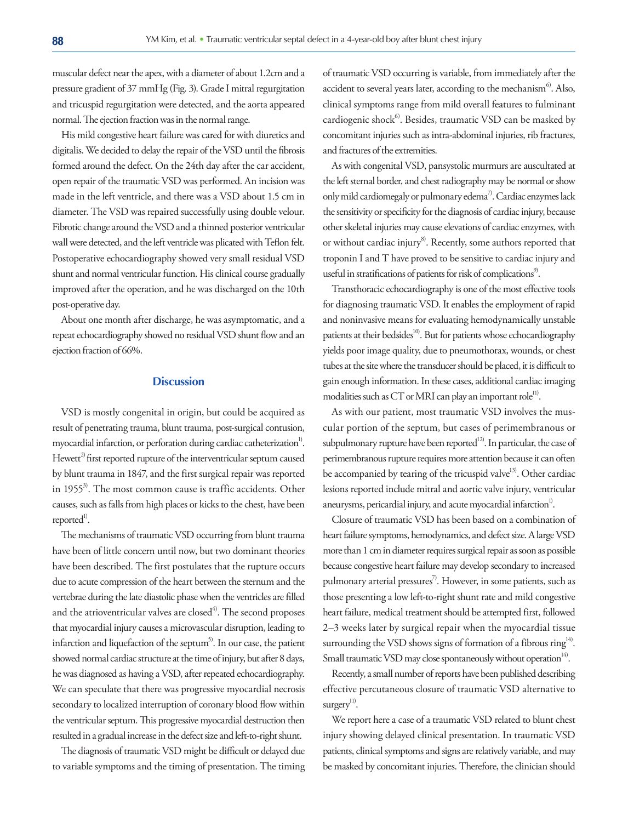muscular defect near the apex, with a diameter of about 1.2cm and a pressure gradient of 37 mmHg (Fig. 3). Grade I mitral regurgitation and tricuspid regurgitation were detected, and the aorta appeared normal. The ejection fraction was in the normal range.

His mild congestive heart failure was cared for with diuretics and digitalis. We decided to delay the repair of the VSD until the fibrosis formed around the defect. On the 24th day after the car accident, open repair of the traumatic VSD was performed. An incision was made in the left ventricle, and there was a VSD about 1.5 cm in diameter. The VSD was repaired successfully using double velour. Fibrotic change around the VSD and a thinned posterior ventricular wall were detected, and the left ventricle was plicated with Teflon felt. Postoperative echocardiography showed very small residual VSD shunt and normal ventricular function. His clinical course gradually improved after the operation, and he was discharged on the 10th post-operative day.

About one month after discharge, he was asymptomatic, and a repeat echocardiography showed no residual VSD shunt flow and an ejection fraction of 66%.

# **Discussion**

VSD is mostly congenital in origin, but could be acquired as result of penetrating trauma, blunt trauma, post-surgical contusion, myocardial infarction, or perforation during cardiac catheterization<sup>1)</sup>. Hewett<sup>2)</sup> first reported rupture of the interventricular septum caused by blunt trauma in 1847, and the first surgical repair was reported in 1955<sup>3)</sup>. The most common cause is traffic accidents. Other causes, such as falls from high places or kicks to the chest, have been reported<sup>1)</sup>.

The mechanisms of traumatic VSD occurring from blunt trauma have been of little concern until now, but two dominant theories have been described. The first postulates that the rupture occurs due to acute compression of the heart between the sternum and the vertebrae during the late diastolic phase when the ventricles are filled and the atrioventricular valves are closed $4^4$ . The second proposes that myocardial injury causes a microvascular disruption, leading to infarction and liquefaction of the septum<sup>5)</sup>. In our case, the patient showed normal cardiac structure at the time of injury, but after 8 days, he was diagnosed as having a VSD, after repeated echocardiography. We can speculate that there was progressive myocardial necrosis secondary to localized interruption of coronary blood flow within the ventricular septum. This progressive myocardial destruction then resulted in a gradual increase in the defect size and left-to-right shunt.

The diagnosis of traumatic VSD might be difficult or delayed due to variable symptoms and the timing of presentation. The timing of traumatic VSD occurring is variable, from immediately after the accident to several years later, according to the mechanism<sup>6</sup>. Also, clinical symptoms range from mild overall features to fulminant cardiogenic shock $6$ . Besides, traumatic VSD can be masked by concomitant injuries such as intra-abdominal injuries, rib fractures, and fractures of the extremities.

As with congenital VSD, pansystolic murmurs are auscultated at the left sternal border, and chest radiography may be normal or show only mild cardiomegaly or pulmonary edema<sup>7)</sup>. Cardiac enzymes lack the sensitivity or specificity for the diagnosis of cardiac injury, because other skeletal injuries may cause elevations of cardiac enzymes, with or without cardiac injury<sup>8</sup>. Recently, some authors reported that troponin I and T have proved to be sensitive to cardiac injury and useful in stratifications of patients for risk of complications<sup>9)</sup>.

Transthoracic echocardiography is one of the most effective tools for diagnosing traumatic VSD. It enables the employment of rapid and noninvasive means for evaluating hemodynamically unstable patients at their bedsides<sup>10)</sup>. But for patients whose echocardiography yields poor image quality, due to pneumothorax, wounds, or chest tubes at the site where the transducer should be placed, it is difficult to gain enough information. In these cases, additional cardiac imaging modalities such as CT or MRI can play an important role<sup>11)</sup>.

As with our patient, most traumatic VSD involves the muscular portion of the septum, but cases of perimembranous or subpulmonary rupture have been reported<sup>12)</sup>. In particular, the case of perimembranous rupture requires more attention because it can often be accompanied by tearing of the tricuspid valve<sup>13)</sup>. Other cardiac lesions reported include mitral and aortic valve injury, ventricular aneurysms, pericardial injury, and acute myocardial infarction<sup>1)</sup>.

Closure of traumatic VSD has been based on a combination of heart failure symptoms, hemodynamics, and defect size. A large VSD more than 1 cm in diameter requires surgical repair as soon as possible because congestive heart failure may develop secondary to increased pulmonary arterial pressures<sup>7</sup>. However, in some patients, such as those presenting a low left-to-right shunt rate and mild congestive heart failure, medical treatment should be attempted first, followed 2–3 weeks later by surgical repair when the myocardial tissue surrounding the VSD shows signs of formation of a fibrous ring<sup>14)</sup>. Small traumatic VSD may close spontaneously without operation<sup>14)</sup>.

Recently, a small number of reports have been published describing effective percutaneous closure of traumatic VSD alternative to surgery<sup>11)</sup>.

We report here a case of a traumatic VSD related to blunt chest injury showing delayed clinical presentation. In traumatic VSD patients, clinical symptoms and signs are relatively variable, and may be masked by concomitant injuries. Therefore, the clinician should